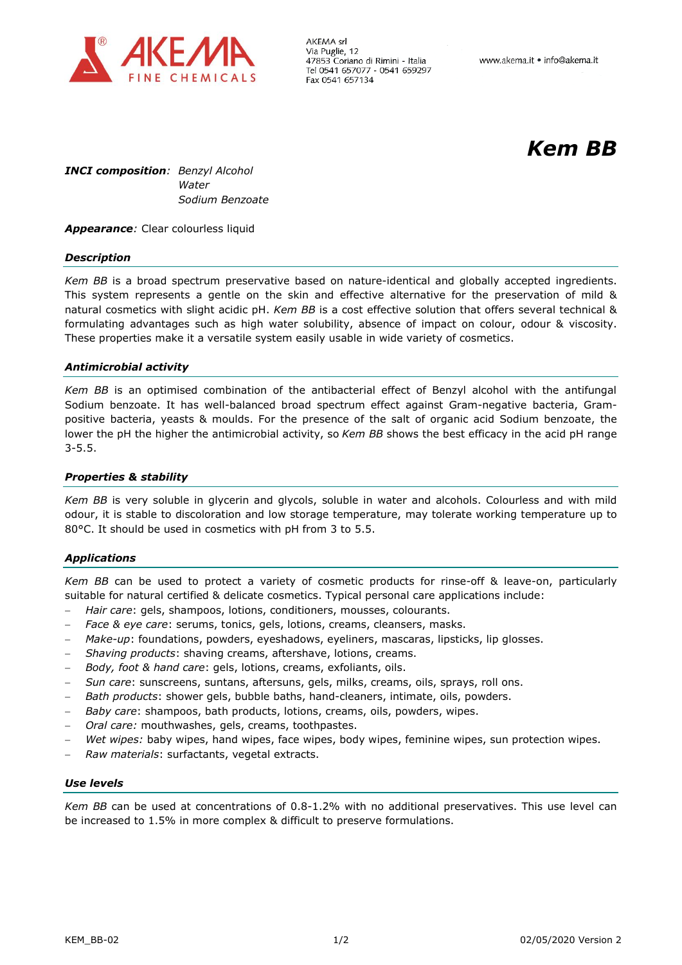

AKEMA srl Via Puglie, 12 47853 Coriano di Rimini - Italia Tel 0541 657077 - 0541 659297 Fax 0541 657134

# *Kem BB*

*INCI composition: Benzyl Alcohol Water Sodium Benzoate*

**Appearance**: Clear colourless liquid

### *Description*

*Kem BB* is a broad spectrum preservative based on nature-identical and globally accepted ingredients. This system represents a gentle on the skin and effective alternative for the preservation of mild & natural cosmetics with slight acidic pH. *Kem BB* is a cost effective solution that offers several technical & formulating advantages such as high water solubility, absence of impact on colour, odour & viscosity. These properties make it a versatile system easily usable in wide variety of cosmetics.

### *Antimicrobial activity*

*Kem BB* is an optimised combination of the antibacterial effect of Benzyl alcohol with the antifungal Sodium benzoate. It has well-balanced broad spectrum effect against Gram-negative bacteria, Grampositive bacteria, yeasts & moulds. For the presence of the salt of organic acid Sodium benzoate, the lower the pH the higher the antimicrobial activity, so *Kem BB* shows the best efficacy in the acid pH range 3-5.5.

## *Properties & stability*

*Kem BB* is very soluble in glycerin and glycols, soluble in water and alcohols. Colourless and with mild odour, it is stable to discoloration and low storage temperature, may tolerate working temperature up to 80°C. It should be used in cosmetics with pH from 3 to 5.5.

## *Applications*

*Kem BB* can be used to protect a variety of cosmetic products for rinse-off & leave-on, particularly suitable for natural certified & delicate cosmetics. Typical personal care applications include:

- *Hair care*: gels, shampoos, lotions, conditioners, mousses, colourants.
- *Face & eye care*: serums, tonics, gels, lotions, creams, cleansers, masks.
- *Make-up*: foundations, powders, eyeshadows, eyeliners, mascaras, lipsticks, lip glosses.
- *Shaving products*: shaving creams, aftershave, lotions, creams.
- *Body, foot & hand care*: gels, lotions, creams, exfoliants, oils.
- *Sun care*: sunscreens, suntans, aftersuns, gels, milks, creams, oils, sprays, roll ons.
- *Bath products*: shower gels, bubble baths, hand-cleaners, intimate, oils, powders.
- *Baby care*: shampoos, bath products, lotions, creams, oils, powders, wipes.
- *Oral care:* mouthwashes, gels, creams, toothpastes.
- *Wet wipes:* baby wipes, hand wipes, face wipes, body wipes, feminine wipes, sun protection wipes.
- *Raw materials*: surfactants, vegetal extracts.

## *Use levels*

*Kem BB* can be used at concentrations of 0.8-1.2% with no additional preservatives. This use level can be increased to 1.5% in more complex & difficult to preserve formulations.